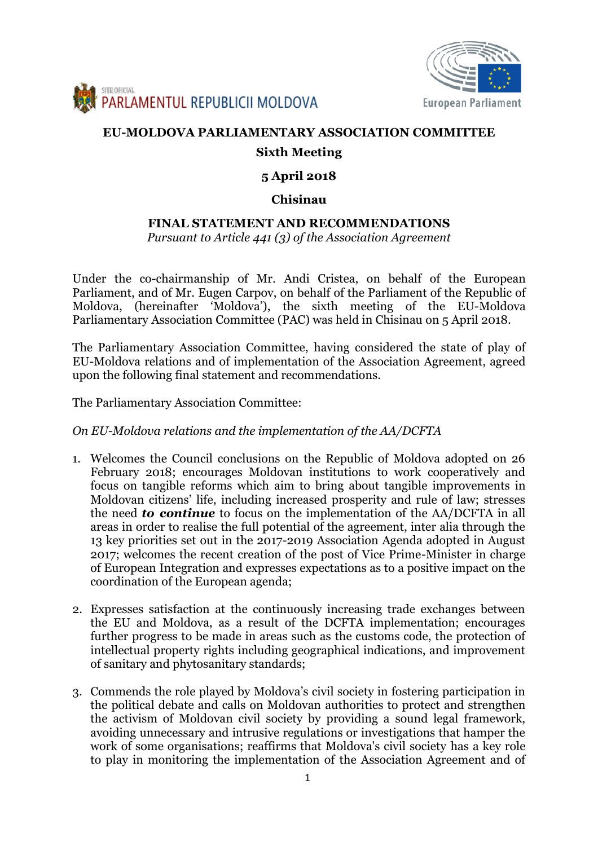



# **EU-MOLDOVA PARLIAMENTARY ASSOCIATION COMMITTEE**

# **Sixth Meeting**

# **5 April 2018**

## **Chisinau**

# **FINAL STATEMENT AND RECOMMENDATIONS**

*Pursuant to Article 441 (3) of the Association Agreement*

Under the co-chairmanship of Mr. Andi Cristea, on behalf of the European Parliament, and of Mr. Eugen Carpov, on behalf of the Parliament of the Republic of Moldova, (hereinafter 'Moldova'), the sixth meeting of the EU-Moldova Parliamentary Association Committee (PAC) was held in Chisinau on 5 April 2018.

The Parliamentary Association Committee, having considered the state of play of EU-Moldova relations and of implementation of the Association Agreement, agreed upon the following final statement and recommendations.

The Parliamentary Association Committee:

### *On EU-Moldova relations and the implementation of the AA/DCFTA*

- 1. Welcomes the Council conclusions on the Republic of Moldova adopted on 26 February 2018; encourages Moldovan institutions to work cooperatively and focus on tangible reforms which aim to bring about tangible improvements in Moldovan citizens' life, including increased prosperity and rule of law; stresses the need *to continue* to focus on the implementation of the AA/DCFTA in all areas in order to realise the full potential of the agreement, inter alia through the 13 key priorities set out in the 2017-2019 Association Agenda adopted in August 2017; welcomes the recent creation of the post of Vice Prime-Minister in charge of European Integration and expresses expectations as to a positive impact on the coordination of the European agenda;
- 2. Expresses satisfaction at the continuously increasing trade exchanges between the EU and Moldova, as a result of the DCFTA implementation; encourages further progress to be made in areas such as the customs code, the protection of intellectual property rights including geographical indications, and improvement of sanitary and phytosanitary standards;
- 3. Commends the role played by Moldova's civil society in fostering participation in the political debate and calls on Moldovan authorities to protect and strengthen the activism of Moldovan civil society by providing a sound legal framework, avoiding unnecessary and intrusive regulations or investigations that hamper the work of some organisations; reaffirms that Moldova's civil society has a key role to play in monitoring the implementation of the Association Agreement and of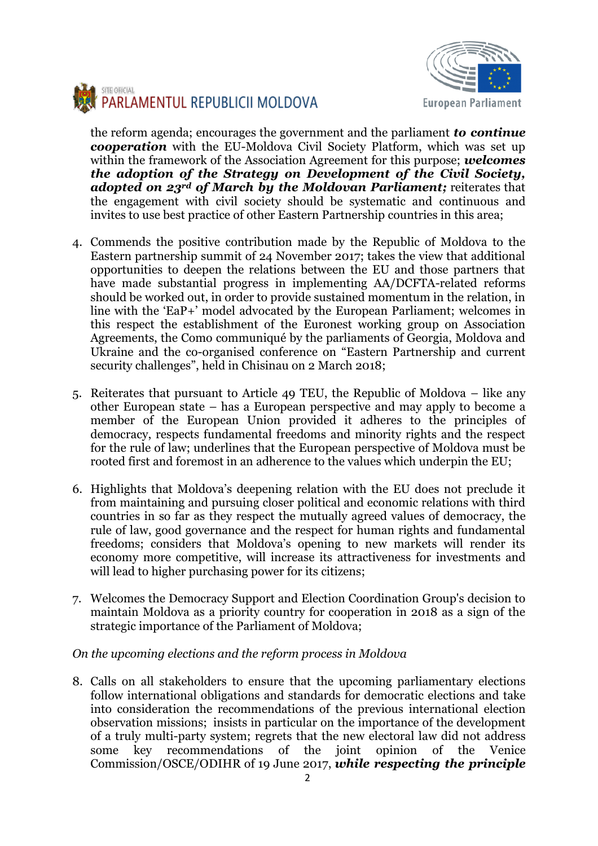



the reform agenda; encourages the government and the parliament *to continue cooperation* with the EU-Moldova Civil Society Platform, which was set up within the framework of the Association Agreement for this purpose; *welcomes the adoption of the Strategy on Development of the Civil Society, adopted on 23rd of March by the Moldovan Parliament;* reiterates that the engagement with civil society should be systematic and continuous and invites to use best practice of other Eastern Partnership countries in this area;

- 4. Commends the positive contribution made by the Republic of Moldova to the Eastern partnership summit of 24 November 2017; takes the view that additional opportunities to deepen the relations between the EU and those partners that have made substantial progress in implementing AA/DCFTA-related reforms should be worked out, in order to provide sustained momentum in the relation, in line with the 'EaP+' model advocated by the European Parliament; welcomes in this respect the establishment of the Euronest working group on Association Agreements, the Como communiqué by the parliaments of Georgia, Moldova and Ukraine and the co-organised conference on "Eastern Partnership and current security challenges", held in Chisinau on 2 March 2018;
- 5. Reiterates that pursuant to Article 49 TEU, the Republic of Moldova like any other European state – has a European perspective and may apply to become a member of the European Union provided it adheres to the principles of democracy, respects fundamental freedoms and minority rights and the respect for the rule of law; underlines that the European perspective of Moldova must be rooted first and foremost in an adherence to the values which underpin the EU;
- 6. Highlights that Moldova's deepening relation with the EU does not preclude it from maintaining and pursuing closer political and economic relations with third countries in so far as they respect the mutually agreed values of democracy, the rule of law, good governance and the respect for human rights and fundamental freedoms; considers that Moldova's opening to new markets will render its economy more competitive, will increase its attractiveness for investments and will lead to higher purchasing power for its citizens;
- 7. Welcomes the Democracy Support and Election Coordination Group's decision to maintain Moldova as a priority country for cooperation in 2018 as a sign of the strategic importance of the Parliament of Moldova;

### *On the upcoming elections and the reform process in Moldova*

8. Calls on all stakeholders to ensure that the upcoming parliamentary elections follow international obligations and standards for democratic elections and take into consideration the recommendations of the previous international election observation missions; insists in particular on the importance of the development of a truly multi-party system; regrets that the new electoral law did not address some key recommendations of the joint opinion of the Venice Commission/OSCE/ODIHR of 19 June 2017, *while respecting the principle*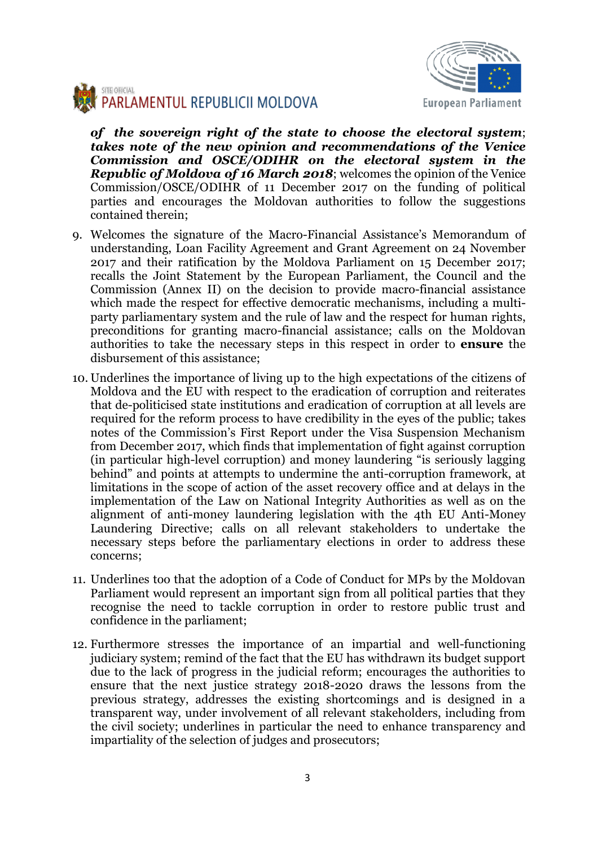



*of the sovereign right of the state to choose the electoral system*; *takes note of the new opinion and recommendations of the Venice Commission and OSCE/ODIHR on the electoral system in the Republic of Moldova of 16 March 2018*; welcomes the opinion of the Venice Commission/OSCE/ODIHR of 11 December 2017 on the funding of political parties and encourages the Moldovan authorities to follow the suggestions contained therein;

- 9. Welcomes the signature of the Macro-Financial Assistance's Memorandum of understanding, Loan Facility Agreement and Grant Agreement on 24 November 2017 and their ratification by the Moldova Parliament on 15 December 2017; recalls the Joint Statement by the European Parliament, the Council and the Commission (Annex II) on the decision to provide macro-financial assistance which made the respect for effective democratic mechanisms, including a multiparty parliamentary system and the rule of law and the respect for human rights, preconditions for granting macro-financial assistance; calls on the Moldovan authorities to take the necessary steps in this respect in order to **ensure** the disbursement of this assistance;
- 10. Underlines the importance of living up to the high expectations of the citizens of Moldova and the EU with respect to the eradication of corruption and reiterates that de-politicised state institutions and eradication of corruption at all levels are required for the reform process to have credibility in the eyes of the public; takes notes of the Commission's First Report under the Visa Suspension Mechanism from December 2017, which finds that implementation of fight against corruption (in particular high-level corruption) and money laundering "is seriously lagging behind" and points at attempts to undermine the anti-corruption framework, at limitations in the scope of action of the asset recovery office and at delays in the implementation of the Law on National Integrity Authorities as well as on the alignment of anti-money laundering legislation with the 4th EU Anti-Money Laundering Directive; calls on all relevant stakeholders to undertake the necessary steps before the parliamentary elections in order to address these concerns;
- 11. Underlines too that the adoption of a Code of Conduct for MPs by the Moldovan Parliament would represent an important sign from all political parties that they recognise the need to tackle corruption in order to restore public trust and confidence in the parliament;
- 12. Furthermore stresses the importance of an impartial and well-functioning judiciary system; remind of the fact that the EU has withdrawn its budget support due to the lack of progress in the judicial reform; encourages the authorities to ensure that the next justice strategy 2018-2020 draws the lessons from the previous strategy, addresses the existing shortcomings and is designed in a transparent way, under involvement of all relevant stakeholders, including from the civil society; underlines in particular the need to enhance transparency and impartiality of the selection of judges and prosecutors;